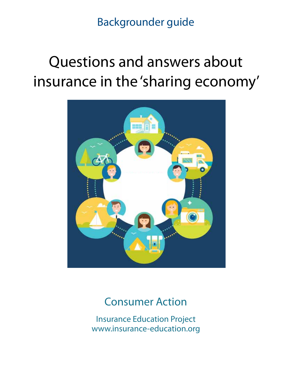Backgrounder guide

# Questions and answers about insurance in the 'sharing economy'



# Consumer Action

Insurance Education Project www.insurance-education.org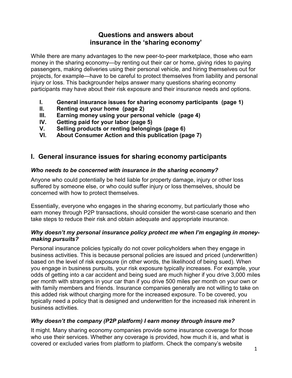## **Questions and answers about insurance in the 'sharing economy'**

While there are many advantages to the new peer-to-peer marketplace, those who earn money in the sharing economy—by renting out their car or home, giving rides to paying passengers, making deliveries using their personal vehicle, and hiring themselves out for projects, for example—have to be careful to protect themselves from liability and personal injury or loss. This backgrounder helps answer many questions sharing economy participants may have about their risk exposure and their insurance needs and options.

- **I. General insurance issues for sharing economy participants (page 1)**
- **II. Renting out your home (page 2)**
- **III. Earning money using your personal vehicle (page 4)**
- **IV. Getting paid for your labor (page 5)**
- **V. Selling products or renting belongings (page 6)**
- **VI. About Consumer Action and this publication (page 7)**

# **I. General insurance issues for sharing economy participants**

#### *Who needs to be concerned with insurance in the sharing economy?*

Anyone who could potentially be held liable for property damage, injury or other loss suffered by someone else, or who could suffer injury or loss themselves, should be concerned with how to protect themselves.

Essentially, everyone who engages in the sharing economy, but particularly those who earn money through P2P transactions, should consider the worst-case scenario and then take steps to reduce their risk and obtain adequate and appropriate insurance.

#### *Why doesn't my personal insurance policy protect me when I'm engaging in moneymaking pursuits?*

Personal insurance policies typically do not cover policyholders when they engage in business activities. This is because personal policies are issued and priced (underwritten) based on the level of risk exposure (in other words, the likelihood of being sued). When you engage in business pursuits, your risk exposure typically increases. For example, your odds of getting into a car accident and being sued are much higher if you drive 3,000 miles per month with strangers in your car than if you drive 500 miles per month on your own or with family members and friends. Insurance companies generally are not willing to take on this added risk without charging more for the increased exposure. To be covered, you typically need a policy that is designed and underwritten for the increased risk inherent in business activities.

#### *Why doesn't the company (P2P platform) I earn money through insure me?*

It might. Many sharing economy companies provide some insurance coverage for those who use their services. Whether any coverage is provided, how much it is, and what is covered or excluded varies from platform to platform. Check the company's website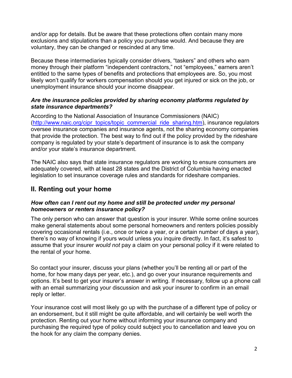and/or app for details. But be aware that these protections often contain many more exclusions and stipulations than a policy you purchase would. And because they are voluntary, they can be changed or rescinded at any time.

Because these intermediaries typically consider drivers, "taskers" and others who earn money through their platform "independent contractors," not "employees," earners aren't entitled to the same types of benefits and protections that employees are. So, you most likely won't qualify for workers compensation should you get injured or sick on the job, or unemployment insurance should your income disappear.

#### *Are the insurance policies provided by sharing economy platforms regulated by state insurance departments?*

According to the National Association of Insurance Commissioners (NAIC) [\(http://www.naic.org/cipr\\_topics/topic\\_commercial\\_ride\\_sharing.htm\)](http://www.naic.org/cipr_topics/topic_commercial_ride_sharing.htm), insurance regulators oversee insurance companies and insurance agents, not the sharing economy companies that provide the protection. The best way to find out if the policy provided by the rideshare company is regulated by your state's department of insurance is to ask the company and/or your state's insurance department.

The NAIC also says that state insurance regulators are working to ensure consumers are adequately covered, with at least 28 states and the District of Columbia having enacted legislation to set insurance coverage rules and standards for rideshare companies.

# **II. Renting out your home**

#### *How often can I rent out my home and still be protected under my personal homeowners or renters insurance policy?*

The only person who can answer that question is your insurer. While some online sources make general statements about some personal homeowners and renters policies possibly covering occasional rentals (i.e., once or twice a year, or a certain number of days a year), there's no way of knowing if yours would unless you inquire directly. In fact, it's safest to assume that your insurer *would not* pay a claim on your personal policy if it were related to the rental of your home.

So contact your insurer, discuss your plans (whether you'll be renting all or part of the home, for how many days per year, etc.), and go over your insurance requirements and options. It's best to get your insurer's answer in writing. If necessary, follow up a phone call with an email summarizing your discussion and ask your insurer to confirm in an email reply or letter.

Your insurance cost will most likely go up with the purchase of a different type of policy or an endorsement, but it still might be quite affordable, and will certainly be well worth the protection. Renting out your home without informing your insurance company and purchasing the required type of policy could subject you to cancellation and leave you on the hook for any claim the company denies.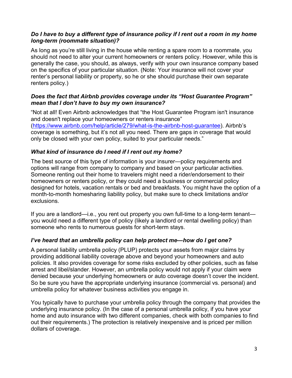#### *Do I have to buy a different type of insurance policy if I rent out a room in my home long-term (roommate situation)?*

As long as you're still living in the house while renting a spare room to a roommate, you should not need to alter your current homeowners or renters policy. However, while this is generally the case, you should, as always, verify with your own insurance company based on the specifics of your particular situation. (Note: Your insurance will not cover your renter's personal liability or property, so he or she should purchase their own separate renters policy.)

#### *Does the fact that Airbnb provides coverage under its "Host Guarantee Program" mean that I don't have to buy my own insurance?*

"Not at all! Even Airbnb acknowledges that "the Host Guarantee Program isn't insurance and doesn't replace your homeowners or renters insurance" [\(https://www.airbnb.com/help/article/279/what-is-the-airbnb-host-guarantee\)](https://www.airbnb.com/help/article/279/what-is-the-airbnb-host-guarantee). Airbnb's coverage is something, but it's not all you need. There are gaps in coverage that would only be closed with your own policy, suited to your particular needs."

#### *What kind of insurance do I need if I rent out my home?*

The best source of this type of information is your insurer—policy requirements and options will range from company to company and based on your particular activities. Someone renting out their home to travelers might need a rider/endorsement to their homeowners or renters policy, or they could need a business or commercial policy designed for hotels, vacation rentals or bed and breakfasts. You might have the option of a month-to-month homesharing liability policy, but make sure to check limitations and/or exclusions.

If you are a landlord—i.e., you rent out property you own full-time to a long-term tenant you would need a different type of policy (likely a landlord or rental dwelling policy) than someone who rents to numerous guests for short-term stays.

#### *I've heard that an umbrella policy can help protect me—how do I get one?*

A personal liability umbrella policy (PLUP) protects your assets from major claims by providing additional liability coverage above and beyond your homeowners and auto policies. It also provides coverage for some risks excluded by other policies, such as false arrest and libel/slander. However, an umbrella policy would not apply if your claim were denied because your underlying homeowners or auto coverage doesn't cover the incident. So be sure you have the appropriate underlying insurance (commercial vs. personal) and umbrella policy for whatever business activities you engage in.

You typically have to purchase your umbrella policy through the company that provides the underlying insurance policy. (In the case of a personal umbrella policy, if you have your home and auto insurance with two different companies, check with both companies to find out their requirements.) The protection is relatively inexpensive and is priced per million dollars of coverage.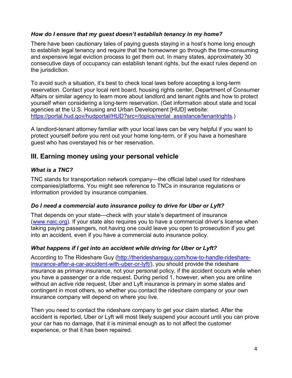#### *How do I ensure that my guest doesn't establish tenancy in my home?*

There have been cautionary tales of paying guests staying in a host's home long enough to establish legal tenancy and require that the homeowner go through the time-consuming and expensive legal eviction process to get them out. In many states, approximately 30 consecutive days of occupancy can establish tenant rights, but the exact rules depend on the jurisdiction.

To avoid such a situation, it's best to check local laws before accepting a long-term reservation. Contact your local rent board, housing rights center, Department of Consumer Affairs or similar agency to learn more about landlord and tenant rights and how to protect yourself when considering a long-term reservation. (Get information about state and local agencies at the U.S. Housing and Urban Development [HUD] website: [https://portal.hud.gov/hudportal/HUD?src=/topics/rental\\_assistance/tenantrights.](https://portal.hud.gov/hudportal/HUD?src=/topics/rental_assistance/tenantrights))

A landlord-tenant attorney familiar with your local laws can be very helpful if you want to protect yourself *before* you rent out your home long-term, or if you have a homeshare guest who has overstayed his or her reservation.

### **III. Earning money using your personal vehicle**

#### *What is a TNC?*

TNC stands for transportation network company—the official label used for rideshare companies/platforms. You might see reference to TNCs in insurance regulations or information provided by insurance companies.

#### *Do I need a commercial auto insurance policy to drive for Uber or Lyft?*

That depends on your state—check with your state's department of insurance [\(www.naic.org\)](http://www.naic.org/). If your state also requires you to have a commercial driver's license when taking paying passengers, not having one could leave you open to prosecution if you get into an accident, even if you have a commercial auto insurance policy.

#### *What happens if I get into an accident while driving for Uber or Lyft?*

According to The Rideshare Guy [\(http://therideshareguy.com/how-to-handle-rideshare](http://therideshareguy.com/how-to-handle-rideshare-insurance-after-a-car-accident-with-uber-or-lyft/)[insurance-after-a-car-accident-with-uber-or-lyft/\)](http://therideshareguy.com/how-to-handle-rideshare-insurance-after-a-car-accident-with-uber-or-lyft/), you should provide the rideshare insurance as primary insurance, not your personal policy, if the accident occurs while when you have a passenger or a ride request. During period 1, however, when you are online without an active ride request, Uber and Lyft insurance is primary in some states and contingent in most others, so whether you contact the rideshare company or your own insurance company will depend on where you live.

Then you need to contact the rideshare company to get your claim started. After the accident is reported, Uber or Lyft will most likely suspend your account until you can prove your car has no damage, that it is minimal enough as to not affect the customer experience, or that it has been repaired.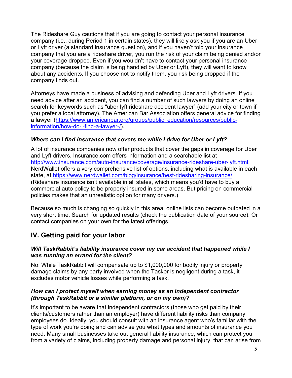The Rideshare Guy cautions that if you are going to contact your personal insurance company (i.e., during Period 1 in certain states), they will likely ask you if you are an Uber or Lyft driver (a standard insurance question), and if you haven't told your insurance company that you are a rideshare driver, you run the risk of your claim being denied and/or your coverage dropped. Even if you wouldn't have to contact your personal insurance company (because the claim is being handled by Uber or Lyft), they will want to know about any accidents. If you choose not to notify them, you risk being dropped if the company finds out.

Attorneys have made a business of advising and defending Uber and Lyft drivers. If you need advice after an accident, you can find a number of such lawyers by doing an online search for keywords such as "uber lyft rideshare accident lawyer" (add your city or town if you prefer a local attorney). The American Bar Association offers general advice for finding a lawyer [\(https://www.americanbar.org/groups/public\\_education/resources/public](https://www.americanbar.org/groups/public_education/resources/public-information/how-do-i-find-a-lawyer-/)[information/how-do-i-find-a-lawyer-/\)](https://www.americanbar.org/groups/public_education/resources/public-information/how-do-i-find-a-lawyer-/).

#### *Where can I find insurance that covers me while I drive for Uber or Lyft?*

A lot of insurance companies now offer products that cover the gaps in coverage for Uber and Lyft drivers. Insurance.com offers information and a searchable list at [http://www.insurance.com/auto-insurance/coverage/insurance-rideshare-uber-lyft.html.](http://www.insurance.com/auto-insurance/coverage/insurance-rideshare-uber-lyft.html) NerdWallet offers a very comprehensive list of options, including what is available in each state, at [https://www.nerdwallet.com/blog/insurance/best-ridesharing-insurance/.](https://www.nerdwallet.com/blog/insurance/best-ridesharing-insurance/) (Rideshare insurance isn't available in all states, which means you'd have to buy a commercial auto policy to be properly insured in some areas. But pricing on commercial policies makes that an unrealistic option for many drivers.)

Because so much is changing so quickly in this area, online lists can become outdated in a very short time. Search for updated results (check the publication date of your source). Or contact companies on your own for the latest offerings.

# **IV. Getting paid for your labor**

#### *Will TaskRabbit's liability insurance cover my car accident that happened while I was running an errand for the client?*

No. While TaskRabbit will compensate up to \$1,000,000 for bodily injury or property damage claims by any party involved when the Tasker is negligent during a task, it excludes motor vehicle losses while performing a task.

#### *How can I protect myself when earning money as an independent contractor (through TaskRabbit or a similar platform, or on my own)?*

It's important to be aware that independent contractors (those who get paid by their clients/customers rather than an employer) have different liability risks than company employees do. Ideally, you should consult with an insurance agent who's familiar with the type of work you're doing and can advise you what types and amounts of insurance you need. Many small businesses take out general liability insurance, which can protect you from a variety of claims, including property damage and personal injury, that can arise from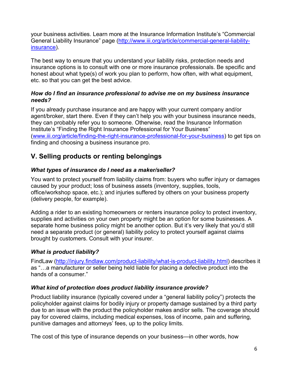your business activities. Learn more at the Insurance Information Institute's "Commercial General Liability Insurance" page [\(http://www.iii.org/article/commercial-general-liability](http://www.iii.org/article/commercial-general-liability-insurance)[insurance\)](http://www.iii.org/article/commercial-general-liability-insurance).

The best way to ensure that you understand your liability risks, protection needs and insurance options is to consult with one or more insurance professionals. Be specific and honest about what type(s) of work you plan to perform, how often, with what equipment, etc. so that you can get the best advice.

#### *How do I find an insurance professional to advise me on my business insurance needs?*

If you already purchase insurance and are happy with your current company and/or agent/broker, start there. Even if they can't help you with your business insurance needs, they can probably refer you to someone. Otherwise, read the Insurance Information Institute's "Finding the Right Insurance Professional for Your Business" [\(www.iii.org/article/finding-the-right-insurance-professional-for-your-business\)](http://www.iii.org/article/finding-the-right-insurance-professional-for-your-business) to get tips on finding and choosing a business insurance pro.

# **V. Selling products or renting belongings**

#### *What types of insurance do I need as a maker/seller?*

You want to protect yourself from liability claims from: buyers who suffer injury or damages caused by your product; loss of business assets (inventory, supplies, tools, office/workshop space, etc.); and injuries suffered by others on your business property (delivery people, for example).

Adding a rider to an existing homeowners or renters insurance policy to protect inventory, supplies and activities on your own property might be an option for some businesses. A separate home business policy might be another option. But it's very likely that you'd still need a separate product (or general) liability policy to protect yourself against claims brought by customers. Consult with your insurer.

#### *What is product liability?*

FindLaw [\(http://injury.findlaw.com/product-liability/what-is-product-liability.html\)](http://injury.findlaw.com/product-liability/what-is-product-liability.html) describes it as "…a manufacturer or seller being held liable for placing a defective product into the hands of a consumer."

#### *What kind of protection does product liability insurance provide?*

Product liability insurance (typically covered under a "general liability policy") protects the policyholder against claims for [bodily injury](https://www.thebalance.com/bodily-injury-462648) or [property damage](https://www.thebalance.com/property-damage-462653) sustained by a third party due to an issue with the product the policyholder makes and/or sells. The coverage should pay for covered claims, including medical expenses, loss of income, pain and suffering, punitive damages and attorneys' fees, up to the policy limits.

The cost of this type of insurance depends on your business—in other words, how